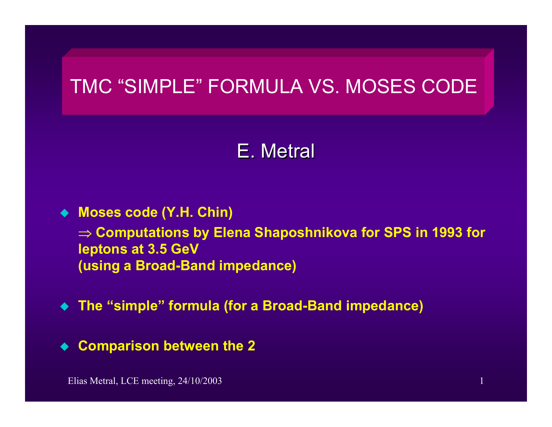# TMC "SIMPLE" FORMULA VS. MOSES CODE

# E. Metral

### **Moses code (Y.H. Chin)**

⇒ **Computations by Elena Shaposhnikova for SPS in 1993 for leptons at 3.5 GeV (using a Broad-Band impedance)**

**The "simple" formula (for a Broad-Band impedance)**

 $\blacklozenge$ **Comparison between the 2**

Elias Metral, LCE meeting, 24/10/2003 1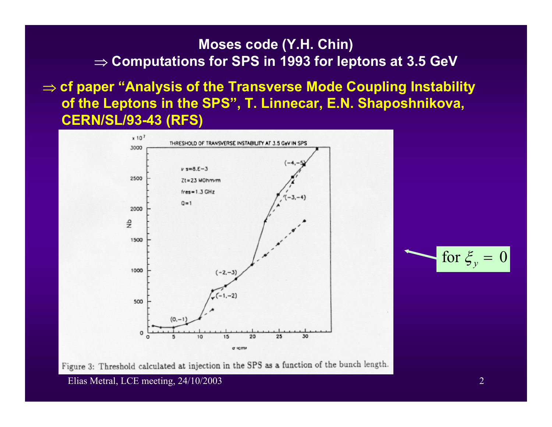### **Moses code (Y.H. Chin)**  ⇒ **Computations for SPS in 1993 for leptons at 3.5 GeV**

⇒ **cf paper "Analysis of the Transverse Mode Coupling Instability of the Leptons in the SPS", T. Linnecar, E.N. Shaposhnikova, CERN/SL/93-43 (RFS)**





Figure 3: Threshold calculated at injection in the SPS as a function of the bunch length.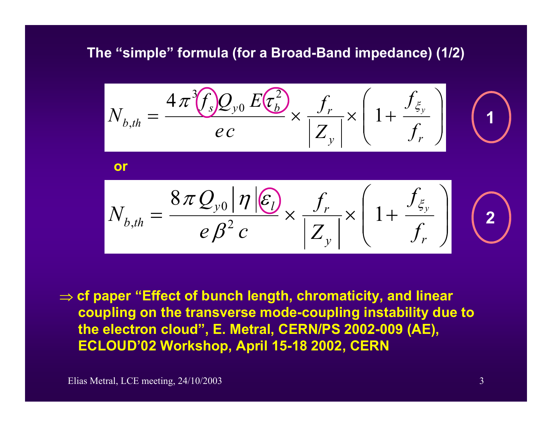## **The "simple" formula (for a Broad-Band impedance) (1/2)**

$$
N_{b,th} = \frac{4\pi^3 f_s Q_{y0} E(\tau_b^2)}{ec} \times \frac{f_r}{|Z_y|} \times \left(1 + \frac{f_{\xi_y}}{f_r}\right)
$$

⇒ **cf paper "Effect of bunch length, chromaticity, and linear coupling on the transverse mode-coupling instability due to the electron cloud", E. Metral, CERN/PS 2002-009 (AE), ECLOUD'02 Workshop, April 15-18 2002, CERN**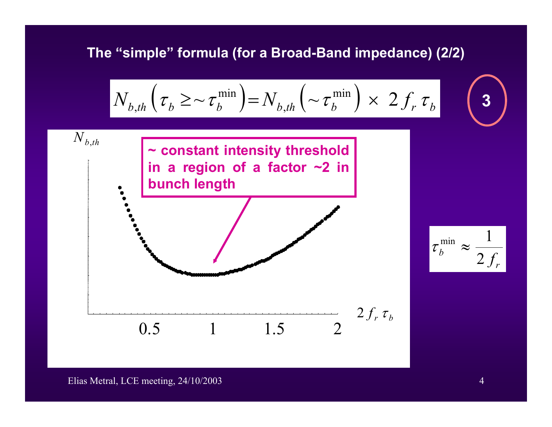## **The "simple" formula (for a Broad-Band impedance) (2/2)**



#### Elias Metral, LCE meeting, 24/10/2003 4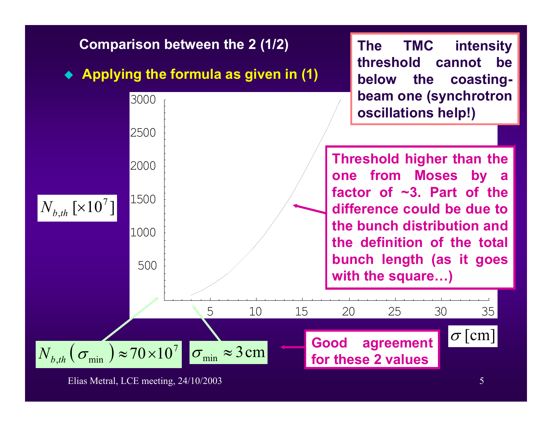

Elias Metral, LCE meeting, 24/10/2003 5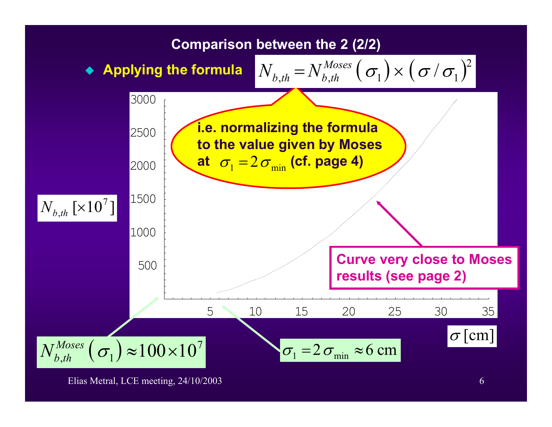

Elias Metral, LCE meeting, 24/10/2003 6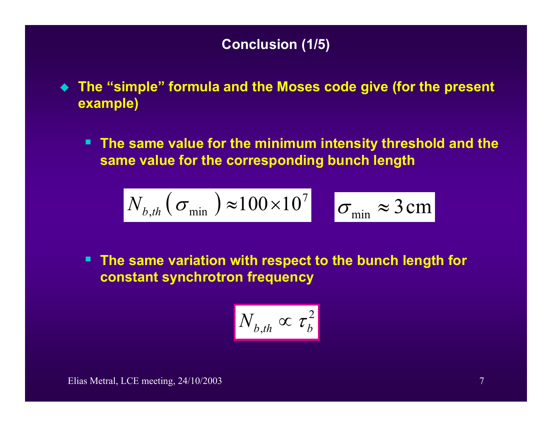# **Conclusion (1/5)**

- **The "simple" formula and the Moses code give (for the present example)**
	- **The same value for the minimum intensity threshold and the same value for the corresponding bunch length**

$$
N_{b,th}(\sigma_{\min}) \approx 100 \times 10^7 \quad \sigma_{\min} \approx 3 \text{ cm}
$$

 **The same variation with respect to the bunch length for constant synchrotron frequency**

$$
N_{b,th} \propto \tau_b^2
$$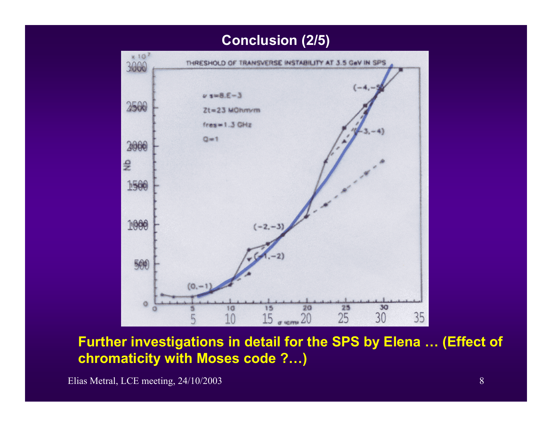### **Conclusion (2/5)**



**Further investigations in detail for the SPS by Elena … (Effect of chromaticity with Moses code ?…)**

Elias Metral, LCE meeting, 24/10/2003 8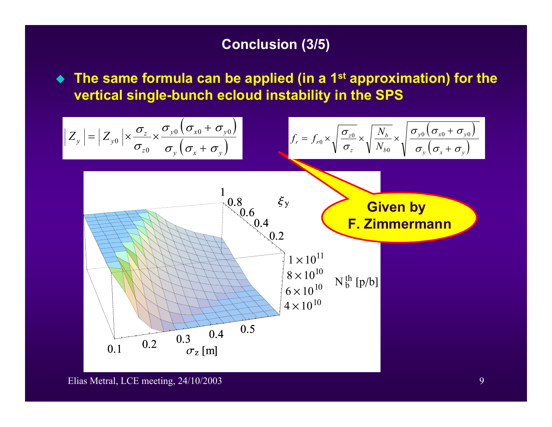### **Conclusion (3/5)**

 **The same formula can be applied (in a 1st approximation) for the vertical single-bunch ecloud instability in the SPS**

$$
Z_{y} = |Z_{y0}| \times \frac{\sigma_{z}}{\sigma_{z0}} \times \frac{\sigma_{y0}(\sigma_{x0} + \sigma_{y0})}{\sigma_{y}(\sigma_{x} + \sigma_{y})}
$$
\n
$$
f_{r} = f_{r0} \times \sqrt{\frac{\sigma_{z0}}{\sigma_{z}} \times \sqrt{\frac{N_{b}}{N_{b0}}} \times \sqrt{\frac{\sigma_{y0}(\sigma_{x0} + \sigma_{y0})}{\sigma_{y}(\sigma_{x} + \sigma_{y})}}}
$$
\n
$$
I_{\infty} = f_{r0} \times \sqrt{\frac{\sigma_{z0}}{\sigma_{z}} \times \sqrt{\frac{N_{b}}{N_{b0}}} \times \sqrt{\frac{\sigma_{y0}(\sigma_{x0} + \sigma_{y0})}{\sigma_{y}(\sigma_{x} + \sigma_{y})}}}
$$
\n
$$
I_{\infty} = f_{r0} \times \sqrt{\frac{\sigma_{z0}}{\sigma_{z}} \times \sqrt{\frac{N_{b}}{N_{b0}}} \times \sqrt{\frac{\sigma_{y0}(\sigma_{x0} + \sigma_{y0})}{\sigma_{y}(\sigma_{x} + \sigma_{y})}}}
$$
\n
$$
I_{\infty} = f_{r0} \times \sqrt{\frac{\sigma_{z0}}{\sigma_{z}} \times \sqrt{\frac{N_{b}}{N_{b0}}} \times \sqrt{\frac{\sigma_{y0}(\sigma_{x0} + \sigma_{y0})}{\sigma_{y}(\sigma_{x} + \sigma_{y})}}}
$$
\n
$$
I_{\infty} = f_{r0} \times \sqrt{\frac{\sigma_{z0}}{\sigma_{z}} \times \sqrt{\frac{N_{b}}{N_{b0}}} \times \sqrt{\frac{\sigma_{y0}(\sigma_{x0} + \sigma_{y0})}{\sigma_{y}(\sigma_{x} + \sigma_{y})}}}
$$
\n
$$
I_{\infty} = f_{r0} \times \sqrt{\frac{\sigma_{z0}}{\sigma_{z}} \times \sqrt{\frac{N_{b}}{N_{b0}}} \times \sqrt{\frac{\sigma_{y0}(\sigma_{x0} + \sigma_{y0})}{\sigma_{y}(\sigma_{x} + \sigma_{y})}}}
$$
\n
$$
I_{\infty} = f_{r0} \times \sqrt{\frac{\sigma_{z0}}{\sigma_{z}} \times \sqrt{\frac{N_{b}}{N_{b0}}} \times \sqrt{\frac{\sigma_{y0}(\sigma_{x0} + \sigma_{y0})}{\sigma_{y}(\sigma_{x} + \sigma_{y})}}}
$$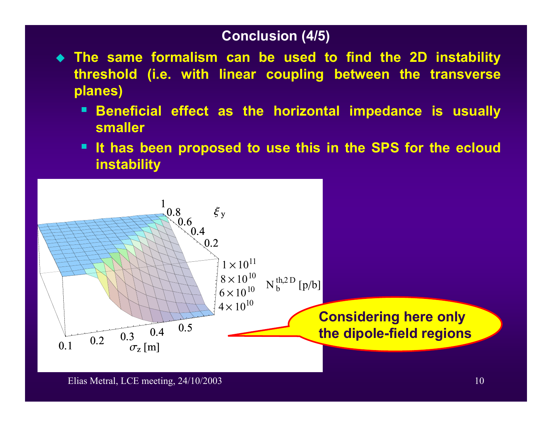### **Conclusion (4/5)**

- **The same formalism can be used to find the 2D instability threshold (i.e. with linear coupling between the transverse planes)** 
	- п **Beneficial effect as the horizontal impedance is usually smaller**
	- **It has been proposed to use this in the SPS for the ecloud instability**